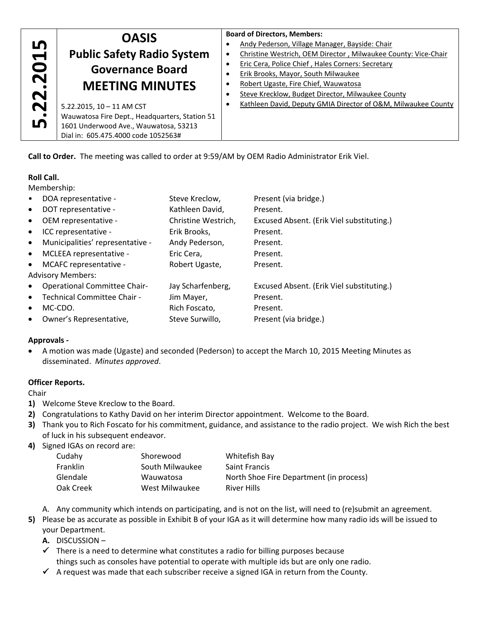|                                                                              | <b>OASIS</b>                                      |  | <b>Board of Directors, Members:</b>                            |  |  |  |
|------------------------------------------------------------------------------|---------------------------------------------------|--|----------------------------------------------------------------|--|--|--|
| m<br>$\blacktriangleright$<br>$\bullet$<br>$\bar{\mathbf{N}}$<br>$\mathbf N$ |                                                   |  | Andy Pederson, Village Manager, Bayside: Chair                 |  |  |  |
|                                                                              | <b>Public Safety Radio System</b>                 |  | Christine Westrich, OEM Director, Milwaukee County: Vice-Chair |  |  |  |
|                                                                              | <b>Governance Board</b><br><b>MEETING MINUTES</b> |  | Eric Cera, Police Chief, Hales Corners: Secretary              |  |  |  |
|                                                                              |                                                   |  | Erik Brooks, Mayor, South Milwaukee                            |  |  |  |
|                                                                              |                                                   |  | Robert Ugaste, Fire Chief, Wauwatosa                           |  |  |  |
|                                                                              |                                                   |  | Steve Krecklow, Budget Director, Milwaukee County              |  |  |  |
| $\overline{\mathbf{N}}$                                                      | 5.22.2015, 10 - 11 AM CST                         |  | Kathleen David, Deputy GMIA Director of O&M, Milwaukee County  |  |  |  |
| <u>ம்</u>                                                                    | Wauwatosa Fire Dept., Headquarters, Station 51    |  |                                                                |  |  |  |
|                                                                              | 1601 Underwood Ave., Wauwatosa, 53213             |  |                                                                |  |  |  |
|                                                                              | Dial in: 605.475.4000 code 1052563#               |  |                                                                |  |  |  |
|                                                                              |                                                   |  |                                                                |  |  |  |

# **Roll Call.**

| .22.2015<br><b>LN</b>                                                                                     | <b>Public Safety Radio System</b><br><b>Governance Board</b><br><b>MEETING MINUTES</b><br>5.22.2015, 10 - 11 AM CST<br>Wauwatosa Fire Dept., Headquarters, Station 51<br>1601 Underwood Ave., Wauwatosa, 53213<br>Dial in: 605.475.4000 code 1052563#                                                                         |                                                                                                                                                                                                   | $\bullet$<br>$\bullet$<br>$\bullet$<br>٠<br>٠<br>٠<br>$\bullet$                                                                                                                                                                                                                                           | Andy Pederson, Village Manager, Bayside: Chair<br>Christine Westrich, OEM Director, Milwaukee Co<br>Eric Cera, Police Chief, Hales Corners: Secretary<br>Erik Brooks, Mayor, South Milwaukee<br>Robert Ugaste, Fire Chief, Wauwatosa<br>Steve Krecklow, Budget Director, Milwaukee Cou<br>Kathleen David, Deputy GMIA Director of O&M,                                                                                                                                                           |  |
|-----------------------------------------------------------------------------------------------------------|-------------------------------------------------------------------------------------------------------------------------------------------------------------------------------------------------------------------------------------------------------------------------------------------------------------------------------|---------------------------------------------------------------------------------------------------------------------------------------------------------------------------------------------------|-----------------------------------------------------------------------------------------------------------------------------------------------------------------------------------------------------------------------------------------------------------------------------------------------------------|--------------------------------------------------------------------------------------------------------------------------------------------------------------------------------------------------------------------------------------------------------------------------------------------------------------------------------------------------------------------------------------------------------------------------------------------------------------------------------------------------|--|
|                                                                                                           |                                                                                                                                                                                                                                                                                                                               |                                                                                                                                                                                                   |                                                                                                                                                                                                                                                                                                           | Call to Order. The meeting was called to order at 9:59/AM by OEM Radio Administrator Erik Viel.                                                                                                                                                                                                                                                                                                                                                                                                  |  |
| <b>Roll Call.</b><br>Membership:<br>$\bullet$<br>٠<br>٠<br>$\bullet$<br>٠<br>٠<br>٠<br><b>Approvals -</b> | DOA representative -<br>DOT representative -<br>OEM representative -<br>ICC representative -<br>Municipalities' representative -<br>MCLEEA representative -<br>MCAFC representative -<br><b>Advisory Members:</b><br><b>Operational Committee Chair-</b><br>Technical Committee Chair -<br>MC-CDO.<br>Owner's Representative, | Steve Kreclow,<br>Kathleen David,<br>Christine Westrich,<br>Erik Brooks,<br>Andy Pederson,<br>Eric Cera,<br>Robert Ugaste,<br>Jay Scharfenberg,<br>Jim Mayer,<br>Rich Foscato,<br>Steve Surwillo, |                                                                                                                                                                                                                                                                                                           | Present (via bridge.)<br>Present.<br>Excused Absent. (Erik Viel substituting.)<br>Present.<br>Present.<br>Present.<br>Present.<br>Excused Absent. (Erik Viel substituting.)<br>Present.<br>Present.<br>Present (via bridge.)<br>A motion was made (Ugaste) and seconded (Pederson) to accept the March 10, 2015 Meeting Minut                                                                                                                                                                    |  |
|                                                                                                           | disseminated. Minutes approved.<br><b>Officer Reports.</b>                                                                                                                                                                                                                                                                    |                                                                                                                                                                                                   |                                                                                                                                                                                                                                                                                                           |                                                                                                                                                                                                                                                                                                                                                                                                                                                                                                  |  |
| Chair                                                                                                     |                                                                                                                                                                                                                                                                                                                               |                                                                                                                                                                                                   |                                                                                                                                                                                                                                                                                                           |                                                                                                                                                                                                                                                                                                                                                                                                                                                                                                  |  |
| 1)<br>2)<br>3)<br>4)                                                                                      | Welcome Steve Kreclow to the Board.<br>of luck in his subsequent endeavor.<br>Signed IGAs on record are:<br>Cudahy<br>Franklin<br>Glendale<br>Oak Creek                                                                                                                                                                       | Shorewood<br>South Milwaukee<br>Wauwatosa<br>West Milwaukee                                                                                                                                       | Congratulations to Kathy David on her interim Director appointment. Welcome to the Board.<br>Thank you to Rich Foscato for his commitment, guidance, and assistance to the radio project. We wi<br>Whitefish Bay<br><b>Saint Francis</b><br>North Shoe Fire Department (in process)<br><b>River Hills</b> |                                                                                                                                                                                                                                                                                                                                                                                                                                                                                                  |  |
| 5)<br>А.<br>✔<br>✓                                                                                        | your Department.<br><b>DISCUSSION-</b>                                                                                                                                                                                                                                                                                        |                                                                                                                                                                                                   |                                                                                                                                                                                                                                                                                                           | A. Any community which intends on participating, and is not on the list, will need to (re)submit an a<br>Please be as accurate as possible in Exhibit B of your IGA as it will determine how many radio ids will<br>There is a need to determine what constitutes a radio for billing purposes because<br>things such as consoles have potential to operate with multiple ids but are only one radio.<br>A request was made that each subscriber receive a signed IGA in return from the County. |  |

# **Approvals ‐**

#### **Officer Reports.**

- **1)** Welcome Steve Kreclow to the Board.
- **2)** Congratulations to Kathy David on her interim Director appointment. Welcome to the Board.
- **3)** Thank you to Rich Foscato for his commitment, guidance, and assistance to the radio project. We wish Rich the best of luck in his subsequent endeavor.
- **4)** Signed IGAs on record are:

| Cudahy          | Shorewood       | Whitefish Bay                           |
|-----------------|-----------------|-----------------------------------------|
| <b>Franklin</b> | South Milwaukee | <b>Saint Francis</b>                    |
| Glendale        | Wauwatosa       | North Shoe Fire Department (in process) |
| Oak Creek       | West Milwaukee  | <b>River Hills</b>                      |

- A. Any community which intends on participating, and is not on the list, will need to (re)submit an agreement.
- **5)** Please be as accurate as possible in Exhibit B of your IGA as it will determine how many radio ids will be issued to your Department.
	- **A.** DISCUSSION –
	- $\checkmark$  There is a need to determine what constitutes a radio for billing purposes because things such as consoles have potential to operate with multiple ids but are only one radio.
	-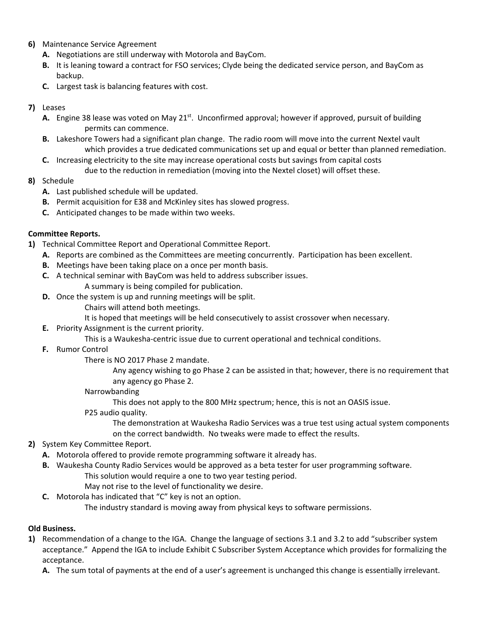- **6)** Maintenance Service Agreement
	- **A.** Negotiations are still underway with Motorola and BayCom.
	- **B.** It is leaning toward a contract for FSO services; Clyde being the dedicated service person, and BayCom as backup.
	- **C.** Largest task is balancing features with cost.

## **7)** Leases

- **A.** Engine 38 lease was voted on May 21<sup>st</sup>. Unconfirmed approval; however if approved, pursuit of building permits can commence.
- **B.** Lakeshore Towers had a significant plan change. The radio room will move into the current Nextel vault which provides a true dedicated communications set up and equal or better than planned remediation.
- **C.** Increasing electricity to the site may increase operational costs but savings from capital costs due to the reduction in remediation (moving into the Nextel closet) will offset these.

# **8)** Schedule

- **A.** Last published schedule will be updated.
- **B.** Permit acquisition for E38 and McKinley sites has slowed progress.
- **C.** Anticipated changes to be made within two weeks.

## **Committee Reports.**

- **1)** Technical Committee Report and Operational Committee Report.
	- **A.** Reports are combined as the Committees are meeting concurrently. Participation has been excellent.
	- **B.** Meetings have been taking place on a once per month basis.
	- **C.** A technical seminar with BayCom was held to address subscriber issues. A summary is being compiled for publication.
	- **D.** Once the system is up and running meetings will be split.
		- Chairs will attend both meetings.
			- It is hoped that meetings will be held consecutively to assist crossover when necessary.
	- **E.** Priority Assignment is the current priority.
		- This is a Waukesha‐centric issue due to current operational and technical conditions.
	- **F.** Rumor Control
		- There is NO 2017 Phase 2 mandate.
			- Any agency wishing to go Phase 2 can be assisted in that; however, there is no requirement that any agency go Phase 2.

#### Narrowbanding

This does not apply to the 800 MHz spectrum; hence, this is not an OASIS issue.

P25 audio quality.

 The demonstration at Waukesha Radio Services was a true test using actual system components on the correct bandwidth. No tweaks were made to effect the results.

- **2)** System Key Committee Report.
	- **A.** Motorola offered to provide remote programming software it already has.
	- **B.** Waukesha County Radio Services would be approved as a beta tester for user programming software.
		- This solution would require a one to two year testing period.
			- May not rise to the level of functionality we desire.
	- **C.** Motorola has indicated that "C" key is not an option.

The industry standard is moving away from physical keys to software permissions.

#### **Old Business.**

- **1)** Recommendation of a change to the IGA. Change the language of sections 3.1 and 3.2 to add "subscriber system acceptance." Append the IGA to include Exhibit C Subscriber System Acceptance which provides for formalizing the acceptance.
	- **A.** The sum total of payments at the end of a user's agreement is unchanged this change is essentially irrelevant.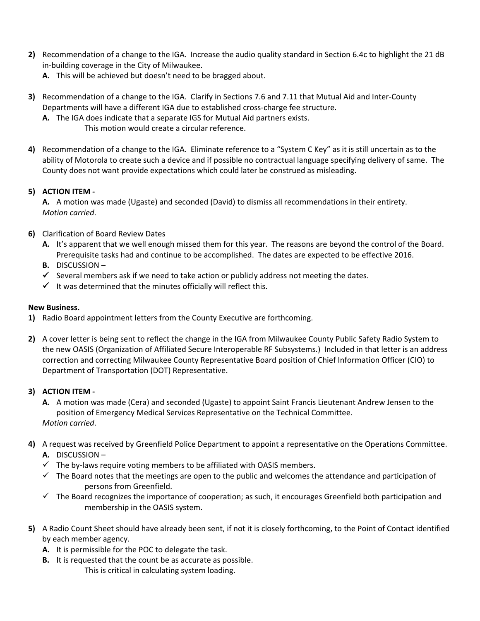- **2)** Recommendation of a change to the IGA. Increase the audio quality standard in Section 6.4c to highlight the 21 dB in‐building coverage in the City of Milwaukee.
	- **A.** This will be achieved but doesn't need to be bragged about.
- **3)** Recommendation of a change to the IGA. Clarify in Sections 7.6 and 7.11 that Mutual Aid and Inter‐County Departments will have a different IGA due to established cross‐charge fee structure.
	- **A.** The IGA does indicate that a separate IGS for Mutual Aid partners exists. This motion would create a circular reference.
- **4)** Recommendation of a change to the IGA. Eliminate reference to a "System C Key" as it is still uncertain as to the ability of Motorola to create such a device and if possible no contractual language specifying delivery of same. The County does not want provide expectations which could later be construed as misleading.

# **5) ACTION ITEM ‐**

**A.** A motion was made (Ugaste) and seconded (David) to dismiss all recommendations in their entirety. *Motion carried*.

- **6)** Clarification of Board Review Dates
	- **A.** It's apparent that we well enough missed them for this year. The reasons are beyond the control of the Board. Prerequisite tasks had and continue to be accomplished. The dates are expected to be effective 2016.
	- **B.** DISCUSSION –
	- $\checkmark$  Several members ask if we need to take action or publicly address not meeting the dates.
	- $\checkmark$  It was determined that the minutes officially will reflect this.

# **New Business.**

- **1)** Radio Board appointment letters from the County Executive are forthcoming.
- **2)** A cover letter is being sent to reflect the change in the IGA from Milwaukee County Public Safety Radio System to the new OASIS (Organization of Affiliated Secure Interoperable RF Subsystems.) Included in that letter is an address correction and correcting Milwaukee County Representative Board position of Chief Information Officer (CIO) to Department of Transportation (DOT) Representative.

# **3) ACTION ITEM ‐**

- **A.** A motion was made (Cera) and seconded (Ugaste) to appoint Saint Francis Lieutenant Andrew Jensen to the position of Emergency Medical Services Representative on the Technical Committee. *Motion carried*.
- **4)** A request was received by Greenfield Police Department to appoint a representative on the Operations Committee.
	- **A.** DISCUSSION –
	- $\checkmark$  The by-laws require voting members to be affiliated with OASIS members.
	- $\checkmark$  The Board notes that the meetings are open to the public and welcomes the attendance and participation of persons from Greenfield.
	- $\checkmark$  The Board recognizes the importance of cooperation; as such, it encourages Greenfield both participation and membership in the OASIS system.
- **5)** A Radio Count Sheet should have already been sent, if not it is closely forthcoming, to the Point of Contact identified by each member agency.
	- **A.** It is permissible for the POC to delegate the task.
	- **B.** It is requested that the count be as accurate as possible. This is critical in calculating system loading.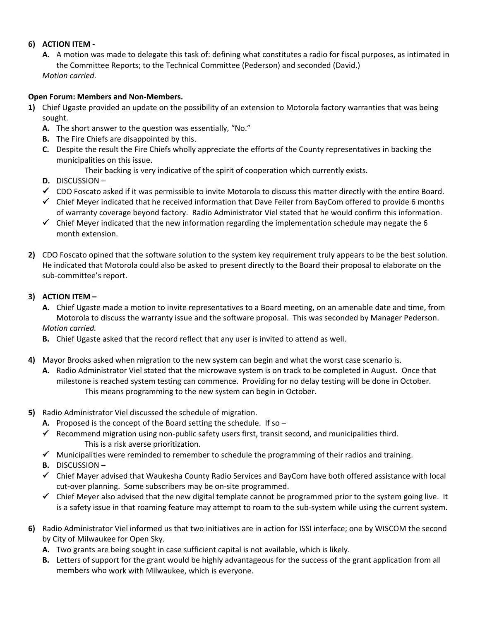## **6) ACTION ITEM ‐**

**A.** A motion was made to delegate this task of: defining what constitutes a radio for fiscal purposes, as intimated in the Committee Reports; to the Technical Committee (Pederson) and seconded (David.)

*Motion carried*.

## **Open Forum: Members and Non‐Members.**

- **1)** Chief Ugaste provided an update on the possibility of an extension to Motorola factory warranties that was being sought.
	- **A.** The short answer to the question was essentially, "No."
	- **B.** The Fire Chiefs are disappointed by this.
	- **C.** Despite the result the Fire Chiefs wholly appreciate the efforts of the County representatives in backing the municipalities on this issue.

Their backing is very indicative of the spirit of cooperation which currently exists.

- **D.** DISCUSSION –
- CDO Foscato asked if it was permissible to invite Motorola to discuss this matter directly with the entire Board.
- $\checkmark$  Chief Meyer indicated that he received information that Dave Feiler from BayCom offered to provide 6 months of warranty coverage beyond factory. Radio Administrator Viel stated that he would confirm this information.
- $\checkmark$  Chief Meyer indicated that the new information regarding the implementation schedule may negate the 6 month extension.
- **2)** CDO Foscato opined that the software solution to the system key requirement truly appears to be the best solution. He indicated that Motorola could also be asked to present directly to the Board their proposal to elaborate on the sub‐committee's report.

## **3) ACTION ITEM –**

- **A.** Chief Ugaste made a motion to invite representatives to a Board meeting, on an amenable date and time, from Motorola to discuss the warranty issue and the software proposal. This was seconded by Manager Pederson. *Motion carried.*
- **B.** Chief Ugaste asked that the record reflect that any user is invited to attend as well.
- **4)** Mayor Brooks asked when migration to the new system can begin and what the worst case scenario is.
	- **A.** Radio Administrator Viel stated that the microwave system is on track to be completed in August. Once that milestone is reached system testing can commence. Providing for no delay testing will be done in October. This means programming to the new system can begin in October.
- **5)** Radio Administrator Viel discussed the schedule of migration.
	- **A.** Proposed is the concept of the Board setting the schedule. If so –
	- Recommend migration using non-public safety users first, transit second, and municipalities third. This is a risk averse prioritization.
	- $\checkmark$  Municipalities were reminded to remember to schedule the programming of their radios and training.
	- **B.** DISCUSSION –
	- Chief Mayer advised that Waukesha County Radio Services and BayCom have both offered assistance with local cut-over planning. Some subscribers may be on-site programmed.
	- $\checkmark$  Chief Meyer also advised that the new digital template cannot be programmed prior to the system going live. It is a safety issue in that roaming feature may attempt to roam to the sub‐system while using the current system.
- **6)** Radio Administrator Viel informed us that two initiatives are in action for ISSI interface; one by WISCOM the second by City of Milwaukee for Open Sky.
	- **A.** Two grants are being sought in case sufficient capital is not available, which is likely.
	- **B.** Letters of support for the grant would be highly advantageous for the success of the grant application from all members who work with Milwaukee, which is everyone.